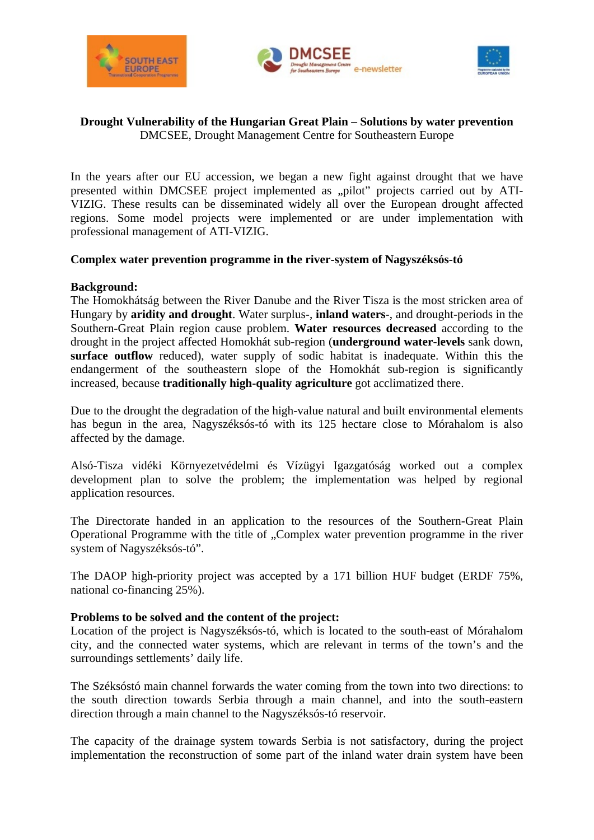





## **Drought Vulnerability of the Hungarian Great Plain – Solutions by water prevention**  DMCSEE, Drought Management Centre for Southeastern Europe

In the years after our EU accession, we began a new fight against drought that we have presented within DMCSEE project implemented as "pilot" projects carried out by ATI-VIZIG. These results can be disseminated widely all over the European drought affected regions. Some model projects were implemented or are under implementation with professional management of ATI-VIZIG.

# **Complex water prevention programme in the river-system of Nagyszéksós-tó**

# **Background:**

The Homokhátság between the River Danube and the River Tisza is the most stricken area of Hungary by **aridity and drought**. Water surplus-, **inland waters**-, and drought-periods in the Southern-Great Plain region cause problem. **Water resources decreased** according to the drought in the project affected Homokhát sub-region (**underground water-levels** sank down, **surface outflow** reduced), water supply of sodic habitat is inadequate. Within this the endangerment of the southeastern slope of the Homokhát sub-region is significantly increased, because **traditionally high-quality agriculture** got acclimatized there.

Due to the drought the degradation of the high-value natural and built environmental elements has begun in the area, Nagyszéksós-tó with its 125 hectare close to Mórahalom is also affected by the damage.

Alsó-Tisza vidéki Környezetvédelmi és Vízügyi Igazgatóság worked out a complex development plan to solve the problem; the implementation was helped by regional application resources.

The Directorate handed in an application to the resources of the Southern-Great Plain Operational Programme with the title of "Complex water prevention programme in the river system of Nagyszéksós-tó".

The DAOP high-priority project was accepted by a 171 billion HUF budget (ERDF 75%, national co-financing 25%).

## **Problems to be solved and the content of the project:**

Location of the project is Nagyszéksós-tó, which is located to the south-east of Mórahalom city, and the connected water systems, which are relevant in terms of the town's and the surroundings settlements' daily life.

The Széksóstó main channel forwards the water coming from the town into two directions: to the south direction towards Serbia through a main channel, and into the south-eastern direction through a main channel to the Nagyszéksós-tó reservoir.

The capacity of the drainage system towards Serbia is not satisfactory, during the project implementation the reconstruction of some part of the inland water drain system have been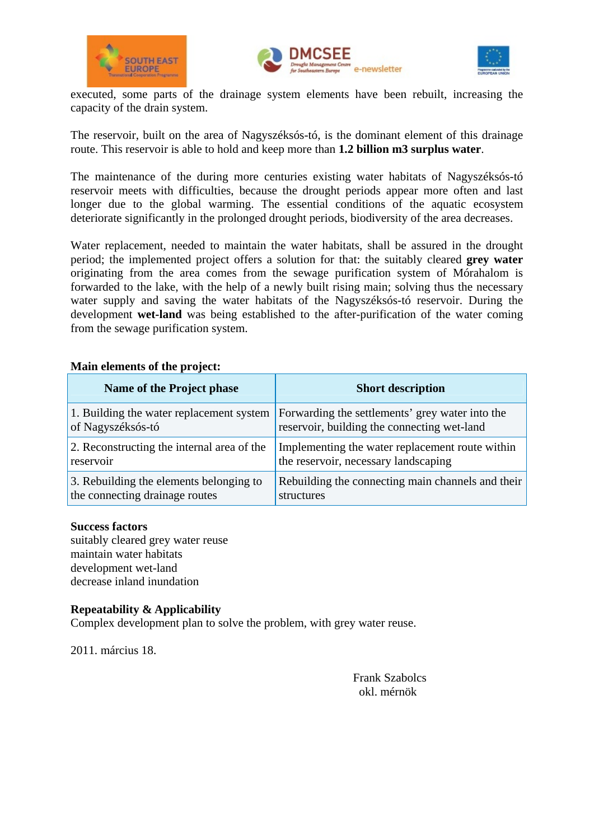





executed, some parts of the drainage system elements have been rebuilt, increasing the capacity of the drain system.

The reservoir, built on the area of Nagyszéksós-tó, is the dominant element of this drainage route. This reservoir is able to hold and keep more than **1.2 billion m3 surplus water**.

The maintenance of the during more centuries existing water habitats of Nagyszéksós-tó reservoir meets with difficulties, because the drought periods appear more often and last longer due to the global warming. The essential conditions of the aquatic ecosystem deteriorate significantly in the prolonged drought periods, biodiversity of the area decreases.

Water replacement, needed to maintain the water habitats, shall be assured in the drought period; the implemented project offers a solution for that: the suitably cleared **grey water** originating from the area comes from the sewage purification system of Mórahalom is forwarded to the lake, with the help of a newly built rising main; solving thus the necessary water supply and saving the water habitats of the Nagyszéksós-tó reservoir. During the development **wet-land** was being established to the after-purification of the water coming from the sewage purification system.

## **Main elements of the project:**

| Name of the Project phase                  | <b>Short description</b>                          |
|--------------------------------------------|---------------------------------------------------|
| 1. Building the water replacement system   | Forwarding the settlements' grey water into the   |
| of Nagyszéksós-tó                          | reservoir, building the connecting wet-land       |
| 2. Reconstructing the internal area of the | Implementing the water replacement route within   |
| reservoir                                  | the reservoir, necessary landscaping              |
| 3. Rebuilding the elements belonging to    | Rebuilding the connecting main channels and their |
| the connecting drainage routes             | structures                                        |

#### **Success factors**

suitably cleared grey water reuse maintain water habitats development wet-land decrease inland inundation

## **Repeatability & Applicability**

Complex development plan to solve the problem, with grey water reuse.

2011. március 18.

Frank Szabolcs okl. mérnök